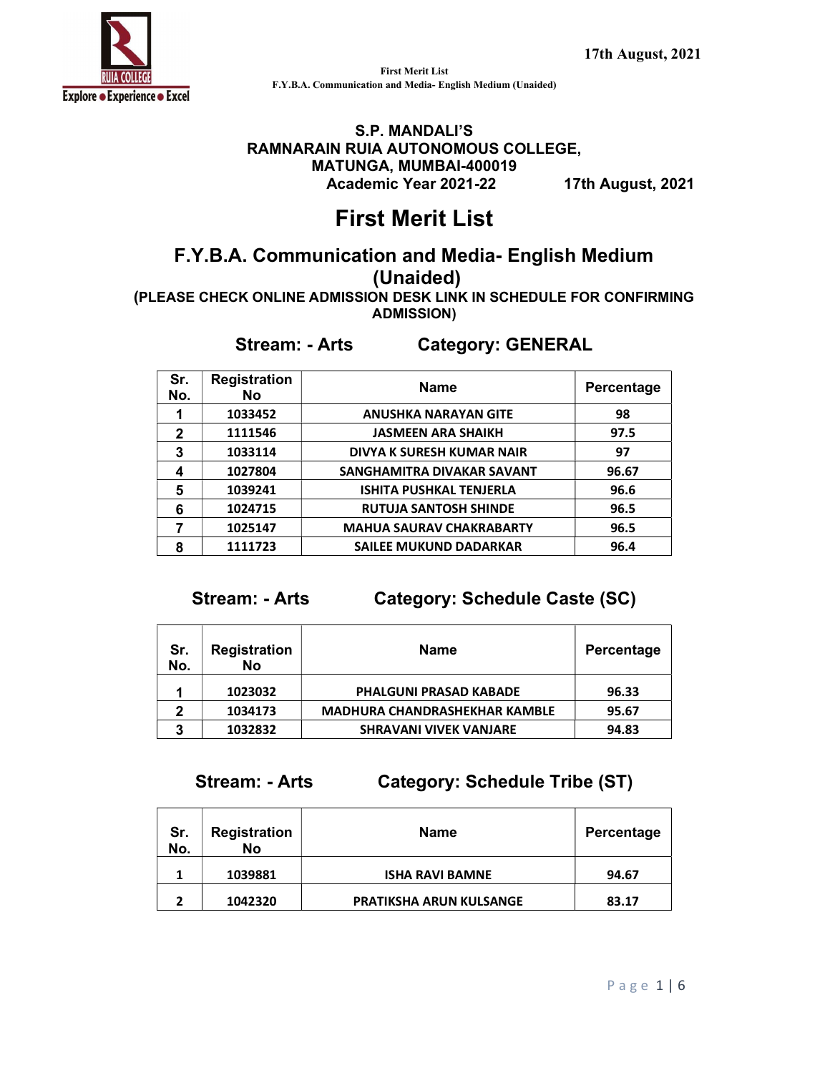

### S.P. MANDALI'S RAMNARAIN RUIA AUTONOMOUS COLLEGE, MATUNGA, MUMBAI-400019 Academic Year 2021-22 17th August, 2021

# First Merit List

# F.Y.B.A. Communication and Media- English Medium (Unaided)

(PLEASE CHECK ONLINE ADMISSION DESK LINK IN SCHEDULE FOR CONFIRMING ADMISSION)

### Stream: - Arts Category: GENERAL

| Sr.<br>No.   | <b>Registration</b><br><b>No</b> | <b>Name</b>                     | Percentage |
|--------------|----------------------------------|---------------------------------|------------|
|              | 1033452                          | <b>ANUSHKA NARAYAN GITE</b>     | 98         |
| $\mathbf{2}$ | 1111546                          | <b>JASMEEN ARA SHAIKH</b>       | 97.5       |
| 3            | 1033114                          | DIVYA K SURESH KUMAR NAIR       | 97         |
| 4            | 1027804                          | SANGHAMITRA DIVAKAR SAVANT      | 96.67      |
| 5            | 1039241                          | <b>ISHITA PUSHKAL TENJERLA</b>  | 96.6       |
| 6            | 1024715                          | <b>RUTUJA SANTOSH SHINDE</b>    | 96.5       |
|              | 1025147                          | <b>MAHUA SAURAV CHAKRABARTY</b> | 96.5       |
| 8            | 1111723                          | <b>SAILEE MUKUND DADARKAR</b>   | 96.4       |

Stream: - Arts Category: Schedule Caste (SC)

| Sr.<br>No. | <b>Registration</b><br>No | <b>Name</b>                          | Percentage |
|------------|---------------------------|--------------------------------------|------------|
|            | 1023032                   | <b>PHALGUNI PRASAD KABADE</b>        | 96.33      |
| 2          | 1034173                   | <b>MADHURA CHANDRASHEKHAR KAMBLE</b> | 95.67      |
| 3          | 1032832                   | <b>SHRAVANI VIVEK VANJARE</b>        | 94.83      |

Stream: - Arts Category: Schedule Tribe (ST)

| Sr.<br>No. | <b>Registration</b><br>No | <b>Name</b>                    | Percentage |
|------------|---------------------------|--------------------------------|------------|
|            | 1039881                   | <b>ISHA RAVI BAMNE</b>         | 94.67      |
| ּ          | 1042320                   | <b>PRATIKSHA ARUN KULSANGE</b> | 83.17      |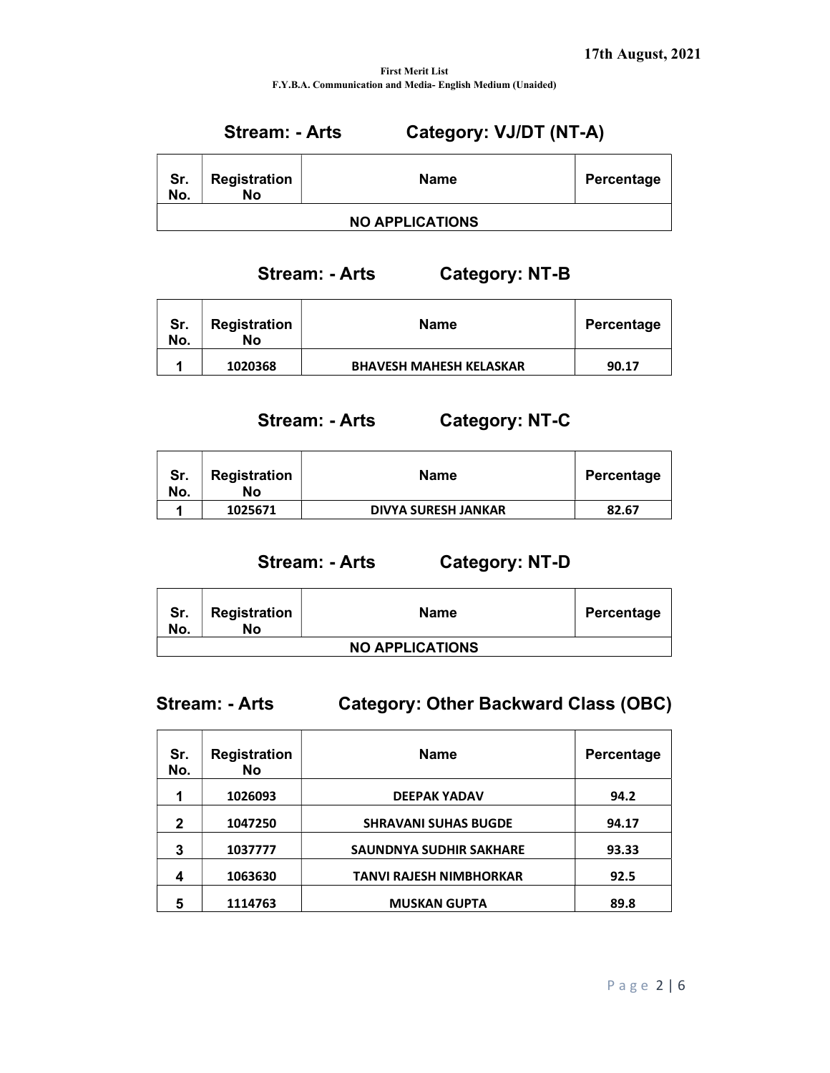# Stream: - Arts Category: VJ/DT (NT-A)

| Sr.<br>No. | <b>Registration</b><br>No | Name                   | Percentage |
|------------|---------------------------|------------------------|------------|
|            |                           | <b>NO APPLICATIONS</b> |            |

Stream: - Arts Category: NT-B

| Sr.<br>No. | <b>Registration</b><br>Nο | <b>Name</b>                    | Percentage |
|------------|---------------------------|--------------------------------|------------|
|            | 1020368                   | <b>BHAVESH MAHESH KELASKAR</b> | 90.17      |

Stream: - Arts Category: NT-C

| Sr.<br>No. | <b>Registration</b><br>No | <b>Name</b>                | Percentage |
|------------|---------------------------|----------------------------|------------|
|            | 1025671                   | <b>DIVYA SURESH JANKAR</b> | 82.67      |

Stream: - Arts Category: NT-D

| Sr.<br>No.             | <b>Registration</b><br>No | Name | Percentage |  |
|------------------------|---------------------------|------|------------|--|
| <b>NO APPLICATIONS</b> |                           |      |            |  |

| <b>Stream: - Arts</b> | <b>Category: Other Backward Class (OBC)</b> |
|-----------------------|---------------------------------------------|
|                       |                                             |

| Sr.<br>No.  | <b>Registration</b><br><b>No</b> | <b>Name</b>                    | Percentage |
|-------------|----------------------------------|--------------------------------|------------|
| 1           | 1026093                          | <b>DEEPAK YADAV</b>            | 94.2       |
| $\mathbf 2$ | 1047250                          | <b>SHRAVANI SUHAS BUGDE</b>    | 94.17      |
| 3           | 1037777                          | <b>SAUNDNYA SUDHIR SAKHARE</b> | 93.33      |
| 4           | 1063630                          | <b>TANVI RAJESH NIMBHORKAR</b> | 92.5       |
| 5           | 1114763                          | <b>MUSKAN GUPTA</b>            | 89.8       |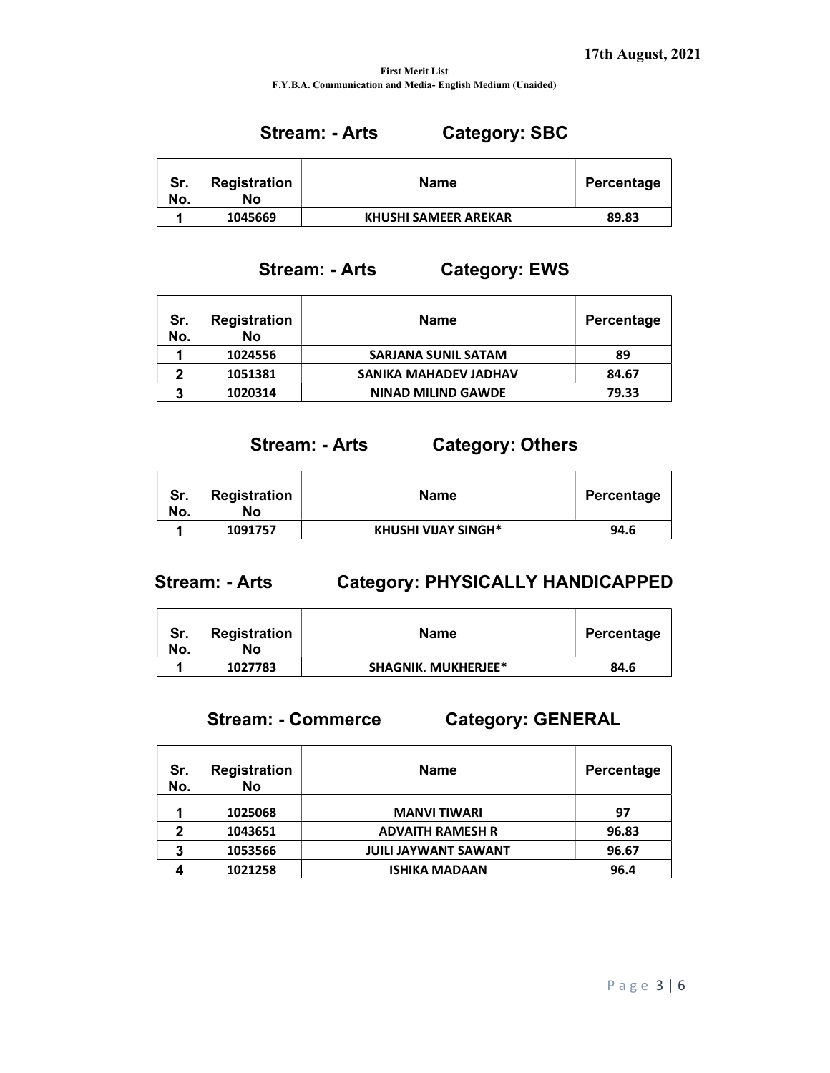### Stream: - Arts Category: SBC

| Sr.<br>No. | <b>Registration</b><br>Nο | <b>Name</b>                 | Percentage |
|------------|---------------------------|-----------------------------|------------|
|            | 1045669                   | <b>KHUSHI SAMEER AREKAR</b> | 89.83      |

### Stream: - Arts Category: EWS

| Sr.<br>No. | <b>Registration</b><br>No | <b>Name</b>                | Percentage |
|------------|---------------------------|----------------------------|------------|
|            | 1024556                   | <b>SARJANA SUNIL SATAM</b> | 89         |
| 2          | 1051381                   | SANIKA MAHADEV JADHAV      | 84.67      |
| 3          | 1020314                   | <b>NINAD MILIND GAWDE</b>  | 79.33      |

### Stream: - Arts Category: Others

| Sr.<br>No. | Registration<br>Nο | Name                       | Percentage |
|------------|--------------------|----------------------------|------------|
|            | 1091757            | <b>KHUSHI VIJAY SINGH*</b> | 94.6       |

### Stream: - Arts Category: PHYSICALLY HANDICAPPED

| Sr.<br>No. | Registration<br>Nο | <b>Name</b>                | Percentage |
|------------|--------------------|----------------------------|------------|
|            | 1027783            | <b>SHAGNIK. MUKHERJEE*</b> | 84.6       |

# Stream: - Commerce Category: GENERAL

| Sr.<br>No. | <b>Registration</b><br><b>No</b> | <b>Name</b>                 | Percentage |
|------------|----------------------------------|-----------------------------|------------|
|            | 1025068                          | <b>MANVI TIWARI</b>         | 97         |
| 2          | 1043651                          | <b>ADVAITH RAMESH R</b>     | 96.83      |
| 3          | 1053566                          | <b>JUILI JAYWANT SAWANT</b> | 96.67      |
|            | 1021258                          | <b>ISHIKA MADAAN</b>        | 96.4       |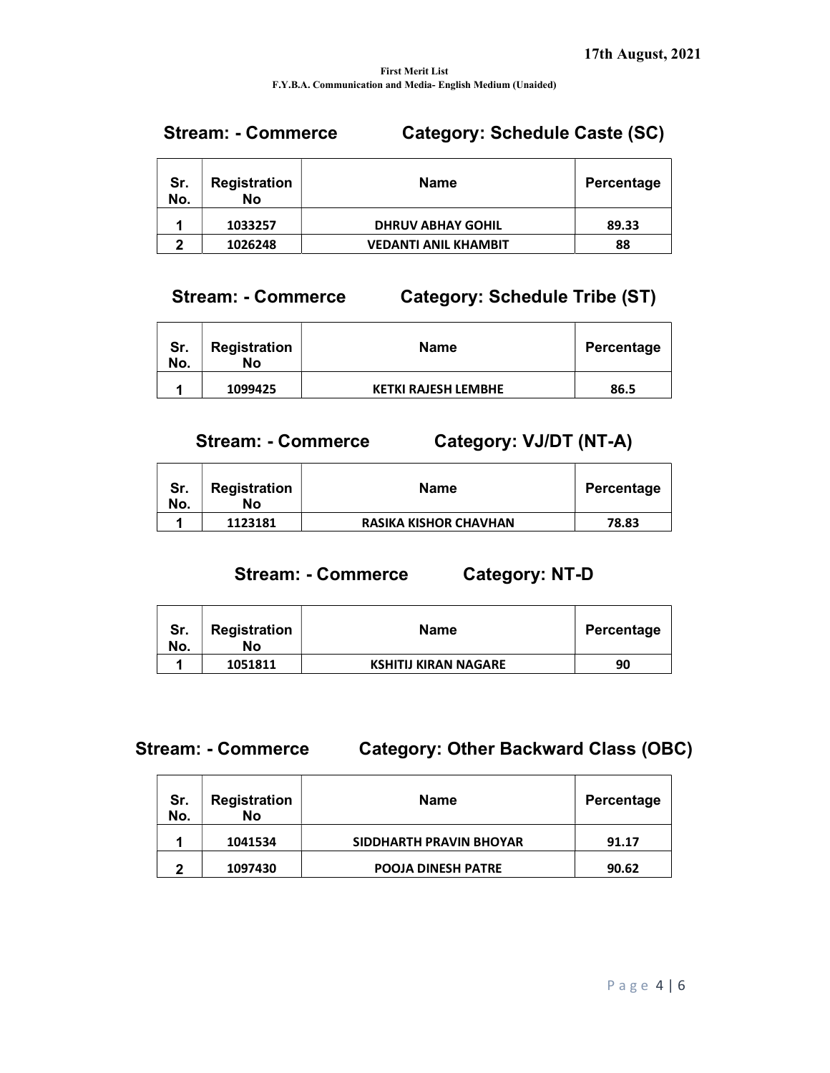## Stream: - Commerce Category: Schedule Caste (SC)

| Sr.<br>No. | <b>Registration</b><br>No | <b>Name</b>                 | Percentage |
|------------|---------------------------|-----------------------------|------------|
|            | 1033257                   | <b>DHRUV ABHAY GOHIL</b>    | 89.33      |
| ּ          | 1026248                   | <b>VEDANTI ANIL KHAMBIT</b> | 88         |

### Stream: - Commerce Category: Schedule Tribe (ST)

| Sr.<br>No. | <b>Registration</b><br>No | <b>Name</b>                | Percentage |
|------------|---------------------------|----------------------------|------------|
|            | 1099425                   | <b>KETKI RAJESH LEMBHE</b> | 86.5       |

## Stream: - Commerce Category: VJ/DT (NT-A)

| Sr.<br>No. | <b>Registration</b><br>Nο | Name                         | Percentage |
|------------|---------------------------|------------------------------|------------|
|            | 1123181                   | <b>RASIKA KISHOR CHAVHAN</b> | 78.83      |

### Stream: - Commerce Category: NT-D

| Sr.<br>No. | Registration<br>No | <b>Name</b>                 | Percentage |
|------------|--------------------|-----------------------------|------------|
|            | 1051811            | <b>KSHITIJ KIRAN NAGARE</b> | 90         |

### Stream: - Commerce Category: Other Backward Class (OBC)

| Sr.<br>No. | <b>Registration</b><br>No | <b>Name</b>               | Percentage |
|------------|---------------------------|---------------------------|------------|
|            | 1041534                   | SIDDHARTH PRAVIN BHOYAR   | 91.17      |
| כי         | 1097430                   | <b>POOJA DINESH PATRE</b> | 90.62      |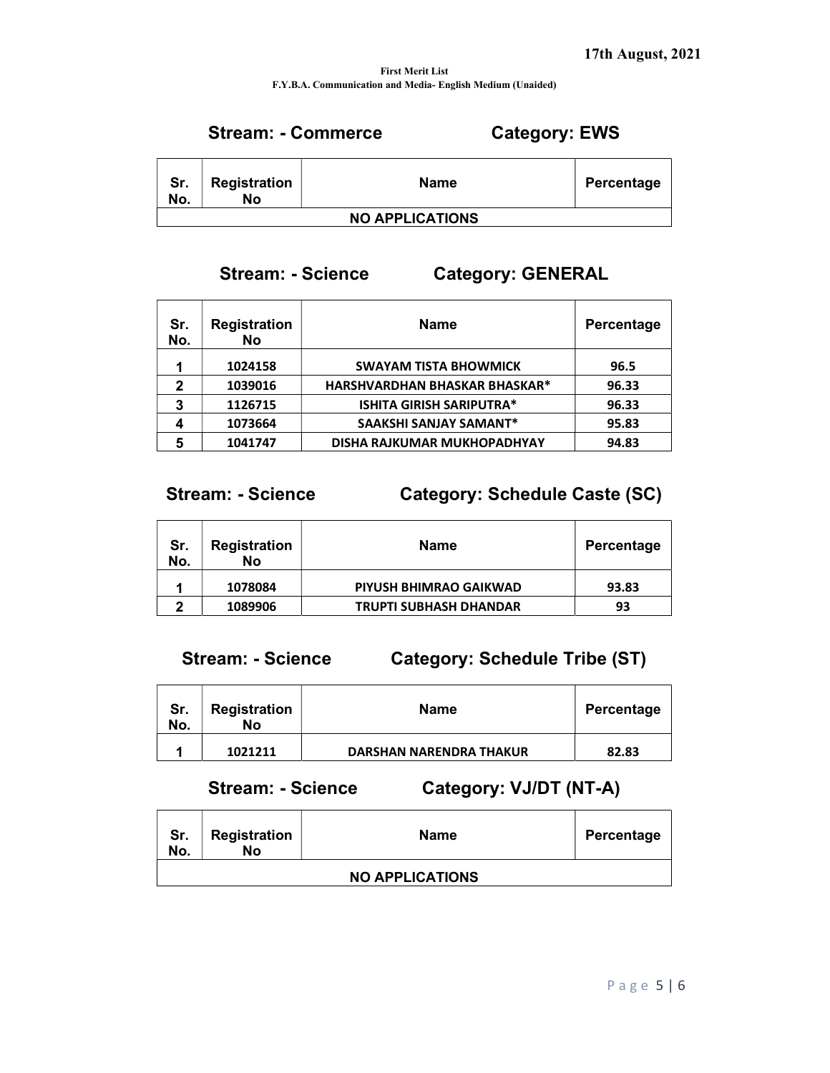# Stream: - Commerce Category: EWS

| Sr.<br>No.             | Registration<br>No | <b>Name</b> | Percentage |  |
|------------------------|--------------------|-------------|------------|--|
| <b>NO APPLICATIONS</b> |                    |             |            |  |

### Stream: - Science Category: GENERAL

| Sr.<br>No. | <b>Registration</b><br><b>No</b> | <b>Name</b>                          | Percentage |
|------------|----------------------------------|--------------------------------------|------------|
|            | 1024158                          | <b>SWAYAM TISTA BHOWMICK</b>         | 96.5       |
| 2          | 1039016                          | <b>HARSHVARDHAN BHASKAR BHASKAR*</b> | 96.33      |
| 3          | 1126715                          | <b>ISHITA GIRISH SARIPUTRA*</b>      | 96.33      |
|            | 1073664                          | <b>SAAKSHI SANJAY SAMANT*</b>        | 95.83      |
|            | 1041747                          | DISHA RAJKUMAR MUKHOPADHYAY          | 94.83      |

## Stream: - Science Category: Schedule Caste (SC)

| Sr.<br>No. | <b>Registration</b><br>Nο | Name                          | Percentage |
|------------|---------------------------|-------------------------------|------------|
|            | 1078084                   | PIYUSH BHIMRAO GAIKWAD        | 93.83      |
| m          | 1089906                   | <b>TRUPTI SUBHASH DHANDAR</b> | 93         |

Stream: - Science Category: Schedule Tribe (ST)

| Sr.<br>No. | Registration<br>Nο | <b>Name</b>                    | Percentage |
|------------|--------------------|--------------------------------|------------|
|            | 1021211            | <b>DARSHAN NARENDRA THAKUR</b> | 82.83      |

## Stream: - Science Category: VJ/DT (NT-A)

| Sr.<br>No. | <b>Registration</b><br>No | <b>Name</b>            | Percentage |
|------------|---------------------------|------------------------|------------|
|            |                           | <b>NO APPLICATIONS</b> |            |